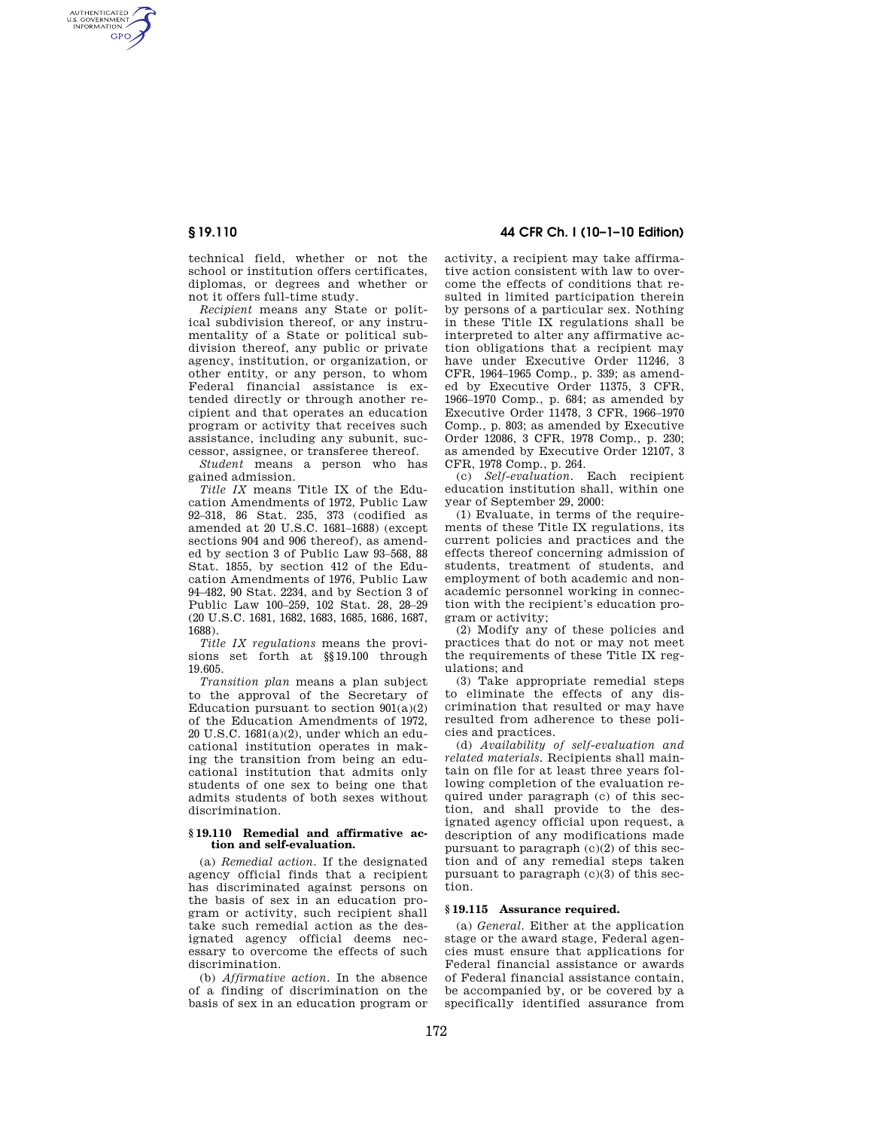AUTHENTICATED<br>U.S. GOVERNMENT<br>INFORMATION **GPO** 

> technical field, whether or not the school or institution offers certificates, diplomas, or degrees and whether or not it offers full-time study.

> *Recipient* means any State or political subdivision thereof, or any instrumentality of a State or political subdivision thereof, any public or private agency, institution, or organization, or other entity, or any person, to whom Federal financial assistance is extended directly or through another recipient and that operates an education program or activity that receives such assistance, including any subunit, successor, assignee, or transferee thereof.

> *Student* means a person who has gained admission.

> *Title IX* means Title IX of the Education Amendments of 1972, Public Law 92–318, 86 Stat. 235, 373 (codified as amended at 20 U.S.C. 1681–1688) (except sections 904 and 906 thereof), as amended by section 3 of Public Law 93–568, 88 Stat. 1855, by section 412 of the Education Amendments of 1976, Public Law 94–482, 90 Stat. 2234, and by Section 3 of Public Law 100–259, 102 Stat. 28, 28–29 (20 U.S.C. 1681, 1682, 1683, 1685, 1686, 1687, 1688).

*Title IX regulations* means the provisions set forth at §§19.100 through 19.605.

*Transition plan* means a plan subject to the approval of the Secretary of Education pursuant to section  $901(a)(2)$ of the Education Amendments of 1972, 20 U.S.C. 1681(a)(2), under which an educational institution operates in making the transition from being an educational institution that admits only students of one sex to being one that admits students of both sexes without discrimination.

### **§ 19.110 Remedial and affirmative action and self-evaluation.**

(a) *Remedial action.* If the designated agency official finds that a recipient has discriminated against persons on the basis of sex in an education program or activity, such recipient shall take such remedial action as the designated agency official deems necessary to overcome the effects of such discrimination.

(b) *Affirmative action.* In the absence of a finding of discrimination on the basis of sex in an education program or

# **§ 19.110 44 CFR Ch. I (10–1–10 Edition)**

activity, a recipient may take affirmative action consistent with law to overcome the effects of conditions that resulted in limited participation therein by persons of a particular sex. Nothing in these Title IX regulations shall be interpreted to alter any affirmative action obligations that a recipient may have under Executive Order 11246, 3 CFR, 1964–1965 Comp., p. 339; as amended by Executive Order 11375, 3 CFR, 1966–1970 Comp., p. 684; as amended by Executive Order 11478, 3 CFR, 1966–1970 Comp., p. 803; as amended by Executive Order 12086, 3 CFR, 1978 Comp., p. 230; as amended by Executive Order 12107, 3 CFR, 1978 Comp., p. 264.

(c) *Self-evaluation.* Each recipient education institution shall, within one year of September 29, 2000:

(1) Evaluate, in terms of the requirements of these Title IX regulations, its current policies and practices and the effects thereof concerning admission of students, treatment of students, and employment of both academic and nonacademic personnel working in connection with the recipient's education program or activity;

(2) Modify any of these policies and practices that do not or may not meet the requirements of these Title IX regulations; and

(3) Take appropriate remedial steps to eliminate the effects of any discrimination that resulted or may have resulted from adherence to these policies and practices.

(d) *Availability of self-evaluation and related materials.* Recipients shall maintain on file for at least three years following completion of the evaluation required under paragraph (c) of this section, and shall provide to the designated agency official upon request, a description of any modifications made pursuant to paragraph (c)(2) of this section and of any remedial steps taken pursuant to paragraph  $(c)(3)$  of this section.

#### **§ 19.115 Assurance required.**

(a) *General.* Either at the application stage or the award stage, Federal agencies must ensure that applications for Federal financial assistance or awards of Federal financial assistance contain, be accompanied by, or be covered by a specifically identified assurance from